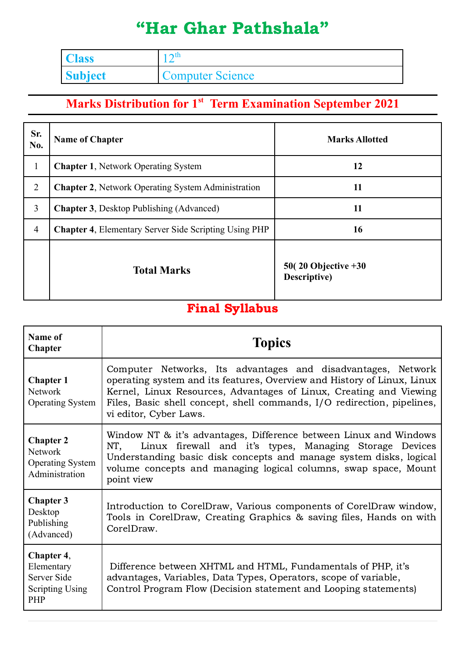## "Har Ghar Pathshala"

| <b>Class</b>   | $\mathbf{\Omega}$       |
|----------------|-------------------------|
| <b>Subject</b> | <b>Computer Science</b> |

## **Marks Distribution for 1 st Term Examination September 2021**

| Sr.<br>No.     | <b>Name of Chapter</b>                                       | <b>Marks Allotted</b>                           |  |
|----------------|--------------------------------------------------------------|-------------------------------------------------|--|
| $\mathbf{1}$   | <b>Chapter 1, Network Operating System</b>                   | 12                                              |  |
| 2              | <b>Chapter 2.</b> Network Operating System Administration    | 11                                              |  |
| 3              | <b>Chapter 3</b> , Desktop Publishing (Advanced)             | 11                                              |  |
| $\overline{4}$ | <b>Chapter 4, Elementary Server Side Scripting Using PHP</b> | 16                                              |  |
|                | <b>Total Marks</b>                                           | $50(20 \text{ Objective} + 30)$<br>Descriptive) |  |

## Final Syllabus

| Name of<br><b>Chapter</b>                                                       | <b>Topics</b>                                                                                                                                                                                                                                                                                                      |  |  |  |  |
|---------------------------------------------------------------------------------|--------------------------------------------------------------------------------------------------------------------------------------------------------------------------------------------------------------------------------------------------------------------------------------------------------------------|--|--|--|--|
| <b>Chapter 1</b><br><b>Network</b><br><b>Operating System</b>                   | Computer Networks, Its advantages and disadvantages, Network<br>operating system and its features, Overview and History of Linux, Linux<br>Kernel, Linux Resources, Advantages of Linux, Creating and Viewing<br>Files, Basic shell concept, shell commands, I/O redirection, pipelines,<br>vi editor, Cyber Laws. |  |  |  |  |
| <b>Chapter 2</b><br><b>Network</b><br><b>Operating System</b><br>Administration | Window NT & it's advantages, Difference between Linux and Windows<br>Linux firewall and it's types, Managing Storage Devices<br>NT.<br>Understanding basic disk concepts and manage system disks, logical<br>volume concepts and managing logical columns, swap space, Mount<br>point view                         |  |  |  |  |
| <b>Chapter 3</b><br>Desktop<br>Publishing<br>(Advanced)                         | Introduction to CorelDraw, Various components of CorelDraw window,<br>Tools in CorelDraw, Creating Graphics & saving files, Hands on with<br>CorelDraw.                                                                                                                                                            |  |  |  |  |
| Chapter 4,<br>Elementary<br>Server Side<br><b>Scripting Using</b><br>PHP        | Difference between XHTML and HTML, Fundamentals of PHP, it's<br>advantages, Variables, Data Types, Operators, scope of variable,<br>Control Program Flow (Decision statement and Looping statements)                                                                                                               |  |  |  |  |